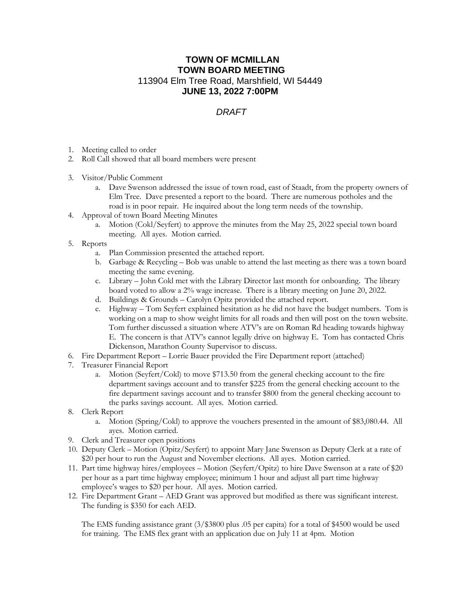## **TOWN OF MCMILLAN TOWN BOARD MEETING** 113904 Elm Tree Road, Marshfield, WI 54449 **JUNE 13, 2022 7:00PM**

## *DRAFT*

- 1. Meeting called to order
- 2. Roll Call showed that all board members were present
- 3. Visitor/Public Comment
	- a. Dave Swenson addressed the issue of town road, east of Staadt, from the property owners of Elm Tree. Dave presented a report to the board. There are numerous potholes and the road is in poor repair. He inquired about the long term needs of the township.
- 4. Approval of town Board Meeting Minutes
	- a. Motion (Cokl/Seyfert) to approve the minutes from the May 25, 2022 special town board meeting. All ayes. Motion carried.
- 5. Reports
	- a. Plan Commission presented the attached report.
	- b. Garbage & Recycling Bob was unable to attend the last meeting as there was a town board meeting the same evening.
	- c. Library John Cokl met with the Library Director last month for onboarding. The library board voted to allow a 2% wage increase. There is a library meeting on June 20, 2022.
	- d. Buildings & Grounds Carolyn Opitz provided the attached report.
	- e. Highway Tom Seyfert explained hesitation as he did not have the budget numbers. Tom is working on a map to show weight limits for all roads and then will post on the town website. Tom further discussed a situation where ATV's are on Roman Rd heading towards highway E. The concern is that ATV's cannot legally drive on highway E. Tom has contacted Chris Dickenson, Marathon County Supervisor to discuss.
- 6. Fire Department Report Lorrie Bauer provided the Fire Department report (attached)
- 7. Treasurer Financial Report
	- a. Motion (Seyfert/Cokl) to move \$713.50 from the general checking account to the fire department savings account and to transfer \$225 from the general checking account to the fire department savings account and to transfer \$800 from the general checking account to the parks savings account. All ayes. Motion carried.
- 8. Clerk Report
	- a. Motion (Spring/Cokl) to approve the vouchers presented in the amount of \$83,080.44. All ayes. Motion carried.
- 9. Clerk and Treasurer open positions
- 10. Deputy Clerk Motion (Opitz/Seyfert) to appoint Mary Jane Swenson as Deputy Clerk at a rate of \$20 per hour to run the August and November elections. All ayes. Motion carried.
- 11. Part time highway hires/employees Motion (Seyfert/Opitz) to hire Dave Swenson at a rate of \$20 per hour as a part time highway employee; minimum 1 hour and adjust all part time highway employee's wages to \$20 per hour. All ayes. Motion carried.
- 12. Fire Department Grant AED Grant was approved but modified as there was significant interest. The funding is \$350 for each AED.

The EMS funding assistance grant (3/\$3800 plus .05 per capita) for a total of \$4500 would be used for training. The EMS flex grant with an application due on July 11 at 4pm. Motion